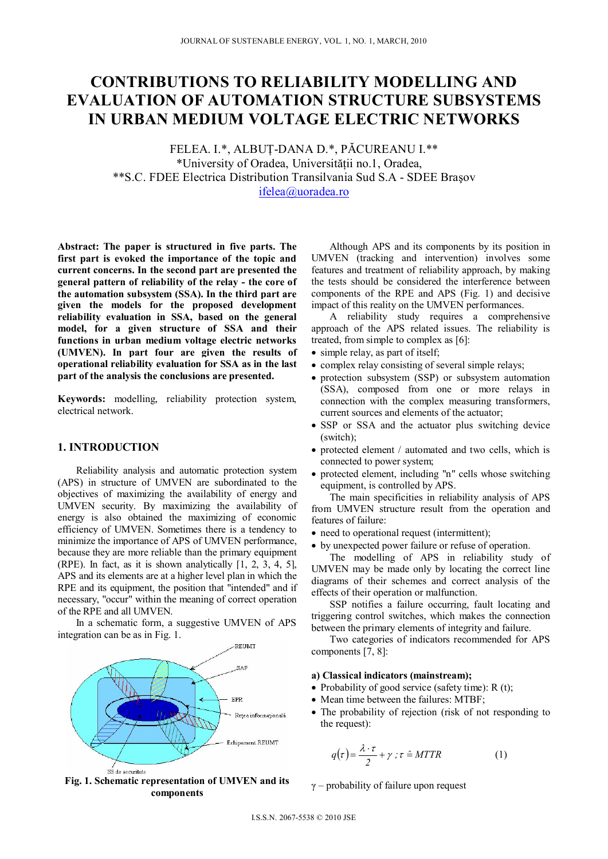# **CONTRIBUTIONS TO RELIABILITY MODELLING AND EVALUATION OF AUTOMATION STRUCTURE SUBSYSTEMS IN URBAN MEDIUM VOLTAGE ELECTRIC NETWORKS**

FELEA. I.\*, ALBUŢ-DANA D.\*, PĂCUREANU I.\*\* \*University of Oradea, Universității no.1, Oradea, \*\*S.C. FDEE Electrica Distribution Transilvania Sud S.A - SDEE Braşov ifelea@uoradea.ro

**Abstract: The paper is structured in five parts. The first part is evoked the importance of the topic and current concerns. In the second part are presented the general pattern of reliability of the relay - the core of the automation subsystem (SSA). In the third part are given the models for the proposed development reliability evaluation in SSA, based on the general model, for a given structure of SSA and their functions in urban medium voltage electric networks (UMVEN). In part four are given the results of operational reliability evaluation for SSA as in the last part of the analysis the conclusions are presented.** 

**Keywords:** modelling, reliability protection system, electrical network.

## **1. INTRODUCTION**

Reliability analysis and automatic protection system (APS) in structure of UMVEN are subordinated to the objectives of maximizing the availability of energy and UMVEN security. By maximizing the availability of energy is also obtained the maximizing of economic efficiency of UMVEN. Sometimes there is a tendency to minimize the importance of APS of UMVEN performance, because they are more reliable than the primary equipment (RPE). In fact, as it is shown analytically [1, 2, 3, 4, 5], APS and its elements are at a higher level plan in which the RPE and its equipment, the position that "intended" and if necessary, "occur" within the meaning of correct operation of the RPE and all UMVEN.

In a schematic form, a suggestive UMVEN of APS integration can be as in Fig. 1.



**Fig. 1. Schematic representation of UMVEN and its components** 

Although APS and its components by its position in UMVEN (tracking and intervention) involves some features and treatment of reliability approach, by making the tests should be considered the interference between components of the RPE and APS (Fig. 1) and decisive impact of this reality on the UMVEN performances.

A reliability study requires a comprehensive approach of the APS related issues. The reliability is treated, from simple to complex as [6]:

- simple relay, as part of itself;
- complex relay consisting of several simple relays;
- protection subsystem (SSP) or subsystem automation (SSA), composed from one or more relays in connection with the complex measuring transformers, current sources and elements of the actuator;
- SSP or SSA and the actuator plus switching device (switch);
- protected element / automated and two cells, which is connected to power system;
- protected element, including "n" cells whose switching equipment, is controlled by APS.

The main specificities in reliability analysis of APS from UMVEN structure result from the operation and features of failure:

- need to operational request (intermittent);
- by unexpected power failure or refuse of operation.

The modelling of APS in reliability study of UMVEN may be made only by locating the correct line diagrams of their schemes and correct analysis of the effects of their operation or malfunction.

SSP notifies a failure occurring, fault locating and triggering control switches, which makes the connection between the primary elements of integrity and failure.

Two categories of indicators recommended for APS components [7, 8]:

#### **a) Classical indicators (mainstream);**

- Probability of good service (safety time):  $R(t)$ ;
- Mean time between the failures: MTBF;
- The probability of rejection (risk of not responding to the request):

$$
q(\tau) = \frac{\lambda \cdot \tau}{2} + \gamma \; ; \; \tau \stackrel{\sim}{=} MTTR \tag{1}
$$

γ – probability of failure upon request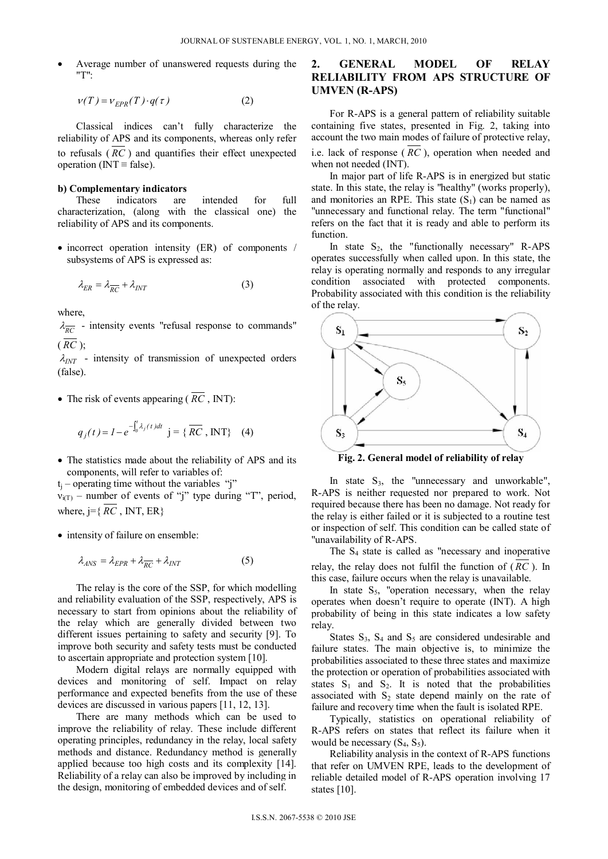Average number of unanswered requests during the "T":

$$
v(T) = v_{EPR}(T) \cdot q(\tau) \tag{2}
$$

Classical indices can't fully characterize the reliability of APS and its components, whereas only refer to refusals ( *RC* ) and quantifies their effect unexpected operation ( $INT \equiv false$ ).

#### **b) Complementary indicators**

These indicators are intended for full characterization, (along with the classical one) the reliability of APS and its components.

 $\bullet$  incorrect operation intensity (ER) of components / subsystems of APS is expressed as:

$$
\lambda_{ER} = \lambda_{\overline{RC}} + \lambda_{INT} \tag{3}
$$

where,

 $\lambda_{\overline{RC}}$  - intensity events "refusal response to commands"  $(\overline{RC})$ ;

 $\lambda_{INT}$  - intensity of transmission of unexpected orders (false).

• The risk of events appearing ( $\overline{RC}$ , INT):

$$
q_j(t) = I - e^{-\int_0^t \lambda_j(t)dt}
$$
 j = { $\overline{RC}$ , INT} (4)

• The statistics made about the reliability of APS and its components, will refer to variables of:

 $t_i$  – operating time without the variables "j"

 $v_{i(T)}$  – number of events of "j" type during "T", period, where,  $j = \{ \overline{RC}$ , INT, ER $\}$ 

• intensity of failure on ensemble:

$$
\lambda_{ANS} = \lambda_{EPR} + \lambda_{\overline{RC}} + \lambda_{INT} \tag{5}
$$

The relay is the core of the SSP, for which modelling and reliability evaluation of the SSP, respectively, APS is necessary to start from opinions about the reliability of the relay which are generally divided between two different issues pertaining to safety and security [9]. To improve both security and safety tests must be conducted to ascertain appropriate and protection system [10].

Modern digital relays are normally equipped with devices and monitoring of self. Impact on relay performance and expected benefits from the use of these devices are discussed in various papers [11, 12, 13].

There are many methods which can be used to improve the reliability of relay. These include different operating principles, redundancy in the relay, local safety methods and distance. Redundancy method is generally applied because too high costs and its complexity [14]. Reliability of a relay can also be improved by including in the design, monitoring of embedded devices and of self.

# **2. GENERAL MODEL OF RELAY RELIABILITY FROM APS STRUCTURE OF UMVEN (R-APS)**

For R-APS is a general pattern of reliability suitable containing five states, presented in Fig. 2, taking into account the two main modes of failure of protective relay, i.e. lack of response ( *RC* ), operation when needed and when not needed (INT).

In major part of life R-APS is in energized but static state. In this state, the relay is "healthy" (works properly), and monitories an RPE. This state  $(S_1)$  can be named as "unnecessary and functional relay. The term "functional" refers on the fact that it is ready and able to perform its function.

In state  $S_2$ , the "functionally necessary" R-APS operates successfully when called upon. In this state, the relay is operating normally and responds to any irregular condition associated with protected components. Probability associated with this condition is the reliability of the relay.



**Fig. 2. General model of reliability of relay** 

In state  $S_3$ , the "unnecessary and unworkable", R-APS is neither requested nor prepared to work. Not required because there has been no damage. Not ready for the relay is either failed or it is subjected to a routine test or inspection of self. This condition can be called state of "unavailability of R-APS.

The  $S_4$  state is called as "necessary and inoperative relay, the relay does not fulfil the function of ( *RC* ). In this case, failure occurs when the relay is unavailable.

In state  $S_5$ , "operation necessary, when the relay operates when doesn't require to operate (INT). A high probability of being in this state indicates a low safety relay.

States  $S_3$ ,  $S_4$  and  $S_5$  are considered undesirable and failure states. The main objective is, to minimize the probabilities associated to these three states and maximize the protection or operation of probabilities associated with states  $S_1$  and  $S_2$ . It is noted that the probabilities associated with  $S_2$  state depend mainly on the rate of failure and recovery time when the fault is isolated RPE.

Typically, statistics on operational reliability of R-APS refers on states that reflect its failure when it would be necessary  $(S_4, S_5)$ .

Reliability analysis in the context of R-APS functions that refer on UMVEN RPE, leads to the development of reliable detailed model of R-APS operation involving 17 states [10].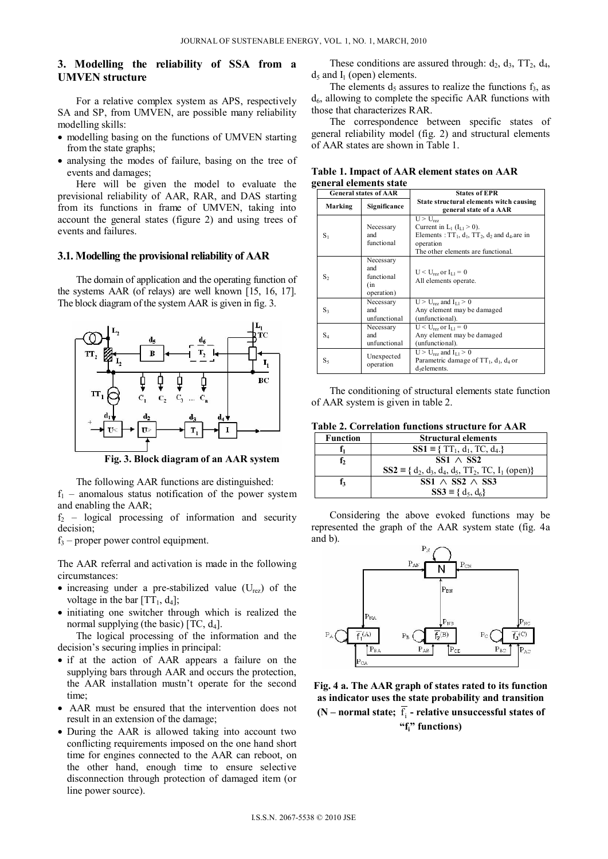# **3. Modelling the reliability of SSA from a UMVEN structure**

For a relative complex system as APS, respectively SA and SP, from UMVEN, are possible many reliability modelling skills:

- modelling basing on the functions of UMVEN starting from the state graphs;
- analysing the modes of failure, basing on the tree of events and damages;

Here will be given the model to evaluate the previsional reliability of AAR, RAR, and DAS starting from its functions in frame of UMVEN, taking into account the general states (figure 2) and using trees of events and failures.

#### **3.1. Modelling the provisional reliability of AAR**

The domain of application and the operating function of the systems AAR (of relays) are well known [15, 16, 17]. The block diagram of the system AAR is given in fig. 3.



**Fig. 3. Block diagram of an AAR system** 

The following AAR functions are distinguished:

 $f_1$  – anomalous status notification of the power system and enabling the AAR;

 $f_2$  – logical processing of information and security decision;

 $f_3$  – proper power control equipment.

The AAR referral and activation is made in the following circumstances:

- increasing under a pre-stabilized value  $(U_{\text{rez}})$  of the voltage in the bar  $[TT_1, d_4]$ ;
- initiating one switcher through which is realized the normal supplying (the basic)  $[TC, d_4]$ .

The logical processing of the information and the decision's securing implies in principal:

- if at the action of AAR appears a failure on the supplying bars through AAR and occurs the protection, the AAR installation mustn't operate for the second time;
- AAR must be ensured that the intervention does not result in an extension of the damage;
- During the AAR is allowed taking into account two conflicting requirements imposed on the one hand short time for engines connected to the AAR can reboot, on the other hand, enough time to ensure selective disconnection through protection of damaged item (or line power source).

These conditions are assured through:  $d_2$ ,  $d_3$ ,  $TT_2$ ,  $d_4$ ,  $d_5$  and  $I_1$  (open) elements.

The elements  $d_5$  assures to realize the functions  $f_3$ , as  $d<sub>6</sub>$ , allowing to complete the specific AAR functions with those that characterizes RAR.

The correspondence between specific states of general reliability model (fig. 2) and structural elements of AAR states are shown in Table 1.

**Table 1. Impact of AAR element states on AAR general elements state** 

| <b>General states of AAR</b> |                                                     | <b>States of EPR</b>                                                                                                                                                         |  |
|------------------------------|-----------------------------------------------------|------------------------------------------------------------------------------------------------------------------------------------------------------------------------------|--|
| Marking                      | Significance                                        | State structural elements witch causing<br>general state of a AAR                                                                                                            |  |
| $S_1$                        | Necessary<br>and<br>functional                      | $U > U_{\text{rez}}$<br>Current in $L_1$ ( $I_{1,1} > 0$ ).<br>Elements: $TT_1$ , $d_1$ , $TT_2$ , $d_2$ and $d_4$ are in<br>operation<br>The other elements are functional. |  |
| $S_2$                        | Necessary<br>and<br>functional<br>(in<br>operation) | $U < U_{res}$ or $I_{11} = 0$<br>All elements operate.                                                                                                                       |  |
| $S_3$                        | Necessary<br>and<br>unfunctional                    | $U > U_{\text{rez}}$ and $I_{L1} > 0$<br>Any element may be damaged<br>(unfunctional).                                                                                       |  |
| $S_4$                        | Necessary<br>and<br>unfunctional                    | $U < U_{\text{rev}}$ or $I_{1,1} = 0$<br>Any element may be damaged<br>(unfunctional).                                                                                       |  |
| $S_5$                        | Unexpected<br>operation                             | $U > U_{\text{rez}}$ and $I_{L1} > 0$<br>Parametric damage of $TT_1$ , $d_1$ , $d_4$ or<br>d <sub>5</sub> elements.                                                          |  |

The conditioning of structural elements state function of AAR system is given in table 2.

**Table 2. Correlation functions structure for AAR** 

| <b>Function</b> | <b>Structural elements</b>                                  |
|-----------------|-------------------------------------------------------------|
|                 | $SS1 \equiv \{ TT_1, d_1, TC, d_4. \}$                      |
| f,              | $SS1 \wedge SS2$                                            |
|                 | $SS2 \equiv \{ d_2, d_3, d_4, d_5, TT_2, TC, I_1 (open) \}$ |
| f.              | SS1 $\land$ SS2 $\land$ SS3                                 |
|                 | $SS3 \equiv \{ d_5, d_6 \}$                                 |

Considering the above evoked functions may be represented the graph of the AAR system state (fig. 4a and b).



**Fig. 4 a. The AAR graph of states rated to its function as indicator uses the state probability and transition** 

 $(N$  – normal state;  $f_i$  – relative unsuccessful states of **"fi" functions)**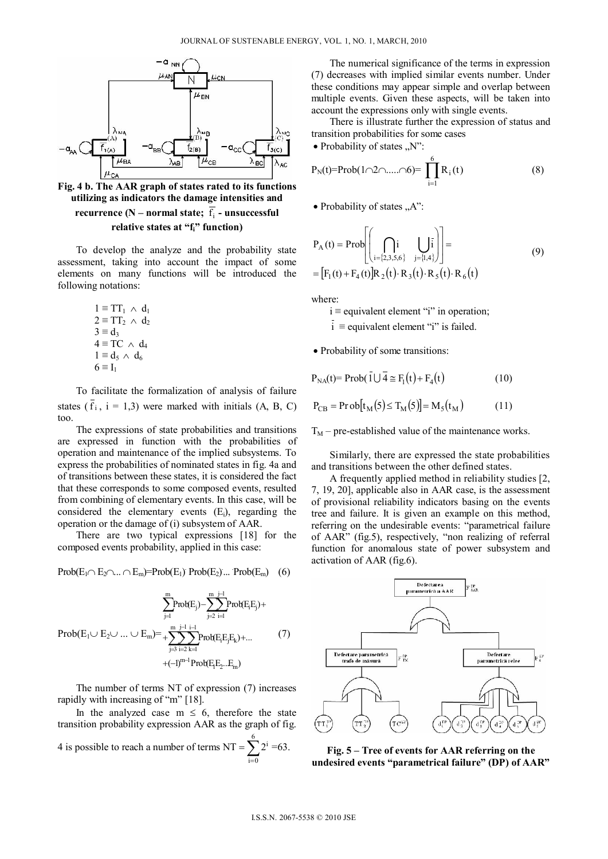

**Fig. 4 b. The AAR graph of states rated to its functions utilizing as indicators the damage intensities and recurrence (N – normal state;**  $\overline{f_i}$  **- unsuccessful** relative states at "f<sub>i</sub>" function)

To develop the analyze and the probability state assessment, taking into account the impact of some elements on many functions will be introduced the following notations:

> $1 \equiv TT_1 \wedge d_1$  $2 \equiv TT_2 \wedge d_2$  $3 \equiv d_3$  $4 \equiv TC \land d_4$  $1 \equiv d_5 \wedge d_6$  $6 \equiv I_1$

To facilitate the formalization of analysis of failure states  $(f_i, i = 1,3)$  were marked with initials  $(A, B, C)$ too.

The expressions of state probabilities and transitions are expressed in function with the probabilities of operation and maintenance of the implied subsystems. To express the probabilities of nominated states in fig. 4a and of transitions between these states, it is considered the fact that these corresponds to some composed events, resulted from combining of elementary events. In this case, will be considered the elementary events  $(E_i)$ , regarding the operation or the damage of (i) subsystem of AAR.

There are two typical expressions [18] for the composed events probability, applied in this case:

$$
Prob(E_1 \cap E_2 \cap ... \cap E_m) = Prob(E_1) Prob(E_2) ... Prob(E_m) \quad (6)
$$

$$
\sum_{j=1}^{m} Prob(E_j) - \sum_{j=2}^{m} \sum_{i=1}^{j-1} Prob(E_i E_j) +
$$
  
\n
$$
Prob(E_1 \cup E_2 \cup ... \cup E_m) = + \sum_{j=3}^{m} \sum_{i=2}^{j-1} \sum_{k=1}^{i-1} Prob(E_i E_j E_k) + ...
$$
  
\n
$$
+ (-1)^{m-1} Prob(E_i E_2... E_m)
$$
 (7)

The number of terms NT of expression (7) increases rapidly with increasing of "m" [18].

In the analyzed case  $m \leq 6$ , therefore the state transition probability expression AAR as the graph of fig.

4 is possible to reach a number of terms  $NT = \sum_{i=0}^{n}$  $NT = \sum_{i=1}^{6} 2^{i} = 63.$  $i=0$ 

The numerical significance of the terms in expression (7) decreases with implied similar events number. Under these conditions may appear simple and overlap between multiple events. Given these aspects, will be taken into account the expressions only with single events.

There is illustrate further the expression of status and transition probabilities for some cases

• Probability of states  $\sqrt{N}$ ":

$$
P_N(t) = Prob(1 \cap 2 \cap \dots \cap 6) = \prod_{i=1}^{6} R_i(t)
$$
 (8)

• Probability of states  $, A$ ":

$$
P_{A}(t) = Prob\left[\bigcap_{i=\{2,3,5,6\}} i \bigcup_{j=\{1,4\}} \overline{i}\right] =
$$
\n
$$
= [F_{1}(t) + F_{4}(t)]R_{2}(t) \cdot R_{3}(t) \cdot R_{5}(t) \cdot R_{6}(t)
$$
\n(9)

where:

 $i \equiv$  equivalent element "i" in operation;

 $i \equiv$  equivalent element "i" is failed.

Probability of some transitions:

$$
P_{NA}(t) = Prob(\overline{1} \cup \overline{4} \cong F_1(t) + F_4(t)
$$
\n(10)

$$
P_{CB} = \text{Prob}[t_M(5) \le T_M(5)] = M_5(t_M) \tag{11}
$$

 $T_M$  – pre-established value of the maintenance works.

Similarly, there are expressed the state probabilities and transitions between the other defined states.

A frequently applied method in reliability studies [2, 7, 19, 20], applicable also in AAR case, is the assessment of provisional reliability indicators basing on the events tree and failure. It is given an example on this method, referring on the undesirable events: "parametrical failure of AAR" (fig.5), respectively, "non realizing of referral function for anomalous state of power subsystem and activation of AAR (fig.6).



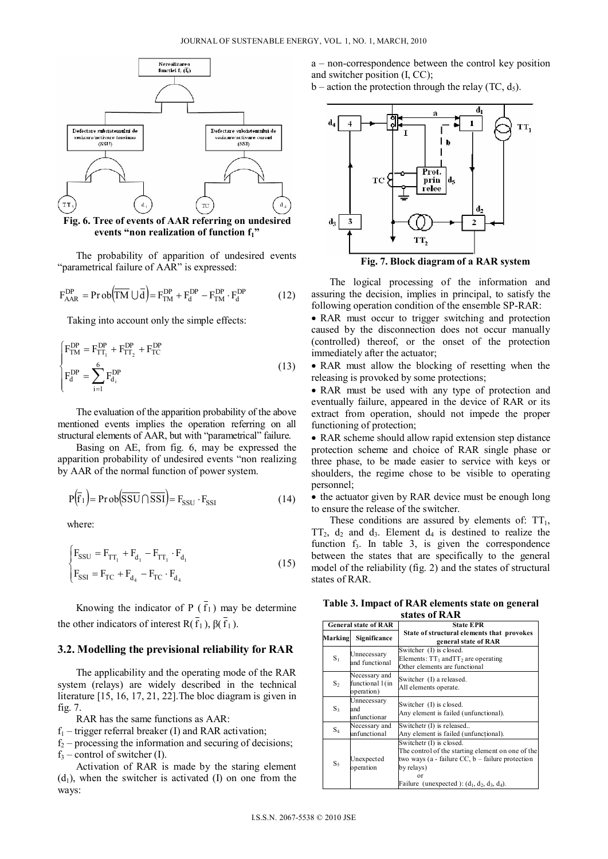

**Fig. 6. Tree of events of AAR referring on undesired**  events "non realization of function f<sub>1</sub>"

The probability of apparition of undesired events "parametrical failure of AAR" is expressed:

$$
F_{AAR}^{DP} = Prob(\overline{TM} \cup \overline{d}) = F_{TM}^{DP} + F_{d}^{DP} - F_{TM}^{DP} \cdot F_{d}^{DP}
$$
(12)

Taking into account only the simple effects:

$$
\begin{cases}\nF_{\text{TM}}^{\text{DP}} = F_{\text{TT}_1}^{\text{DP}} + F_{\text{TT}_2}^{\text{DP}} + F_{\text{TC}}^{\text{DP}} \\
F_d^{\text{DP}} = \sum_{i=1}^6 F_{d_i}^{\text{DP}}\n\end{cases} (13)
$$

The evaluation of the apparition probability of the above mentioned events implies the operation referring on all structural elements of AAR, but with "parametrical" failure.

Basing on AE, from fig. 6, may be expressed the apparition probability of undesired events "non realizing by AAR of the normal function of power system.

$$
P(\overline{f}_1) = Prob(\overline{SSU} \cap \overline{SSI}) = F_{SSU} \cdot F_{SSI}
$$
 (14)

where:

$$
\begin{cases}\n\mathbf{F}_{\text{SSU}} = \mathbf{F}_{\text{TT}_1} + \mathbf{F}_{\text{d}_1} - \mathbf{F}_{\text{TT}_1} \cdot \mathbf{F}_{\text{d}_1} \\
\mathbf{F}_{\text{SSI}} = \mathbf{F}_{\text{TC}} + \mathbf{F}_{\text{d}_4} - \mathbf{F}_{\text{TC}} \cdot \mathbf{F}_{\text{d}_4}\n\end{cases}
$$
\n(15)

Knowing the indicator of P  $(\bar{f}_1)$  may be determine the other indicators of interest  $R(\overline{f_1})$ ,  $\overline{f_1}$  ).

#### **3.2. Modelling the previsional reliability for RAR**

The applicability and the operating mode of the RAR system (relays) are widely described in the technical literature [15, 16, 17, 21, 22].The bloc diagram is given in fig. 7.

RAR has the same functions as AAR:

- $f_1$  trigger referral breaker (I) and RAR activation;
- $f_2$  processing the information and securing of decisions;  $f_3$  – control of switcher (I).

Activation of RAR is made by the staring element  $(d_1)$ , when the switcher is activated (I) on one from the ways:

a – non-correspondence between the control key position and switcher position (I, CC);

b – action the protection through the relay (TC,  $d_5$ ).



**Fig. 7. Block diagram of a RAR system** 

The logical processing of the information and assuring the decision, implies in principal, to satisfy the following operation condition of the ensemble SP-RAR:

• RAR must occur to trigger switching and protection caused by the disconnection does not occur manually (controlled) thereof, or the onset of the protection immediately after the actuator;

• RAR must allow the blocking of resetting when the releasing is provoked by some protections;

• RAR must be used with any type of protection and eventually failure, appeared in the device of RAR or its extract from operation, should not impede the proper functioning of protection;

• RAR scheme should allow rapid extension step distance protection scheme and choice of RAR single phase or three phase, to be made easier to service with keys or shoulders, the regime chose to be visible to operating personnel;

• the actuator given by RAR device must be enough long to ensure the release of the switcher.

These conditions are assured by elements of:  $TT<sub>1</sub>$ ,  $TT_2$ , d<sub>2</sub> and d<sub>3</sub>. Element d<sub>4</sub> is destined to realize the function  $f_3$ . In table 3, is given the correspondence between the states that are specifically to the general model of the reliability (fig. 2) and the states of structural states of RAR.

**Table 3. Impact of RAR elements state on general states of RAR** 

|         | <b>General state of RAR</b>                    | <b>State EPR</b>                                                                                                                                                                                                   |  |  |
|---------|------------------------------------------------|--------------------------------------------------------------------------------------------------------------------------------------------------------------------------------------------------------------------|--|--|
| Marking | Significance                                   | State of structural elements that provokes<br>general state of RAR                                                                                                                                                 |  |  |
| $S_1$   | Unnecessary<br>and functional                  | Switcher (I) is closed.<br>Elements: $TT_1$ and $TT_2$ are operating<br>Other elements are functional                                                                                                              |  |  |
| $S_2$   | Necessary and<br>functional 1(in<br>operation) | Switcher (I) a released.<br>All elements operate.                                                                                                                                                                  |  |  |
| $S_3$   | Unnecessary<br>and<br>unfunctionar             | Switcher (I) is closed.<br>Any element is failed (unfunctional).                                                                                                                                                   |  |  |
| $S_4$   | Necessary and<br>unfunctional                  | Switchetr (I) is released<br>Any element is failed (unfunctional).                                                                                                                                                 |  |  |
| $S_5$   | Unexpected<br>operation                        | Switchetr (I) is closed.<br>The control of the starting element on one of the<br>two ways (a - failure $CC$ , b – failure protection<br>by relays)<br>$\alpha$ r<br>Failure (unexpected): $(d_1, d_2, d_3, d_4)$ . |  |  |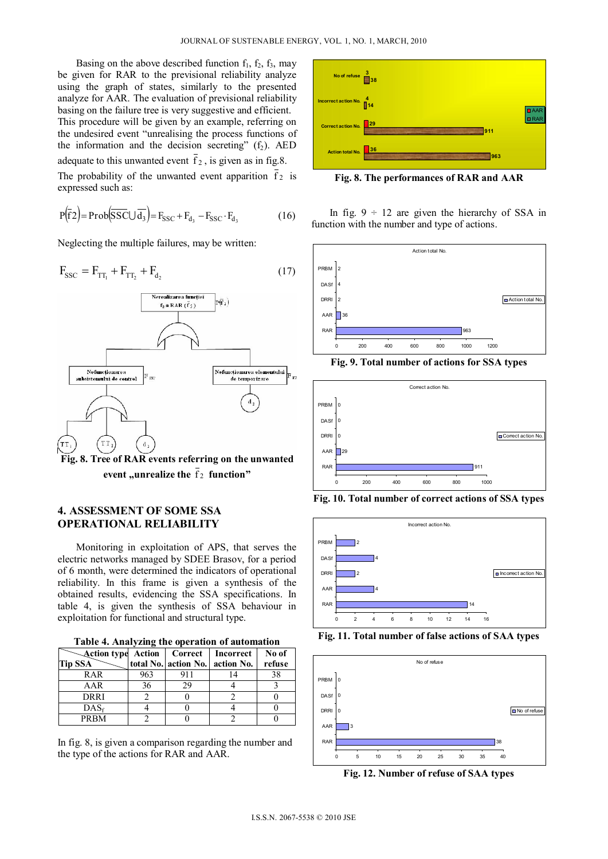Basing on the above described function  $f_1$ ,  $f_2$ ,  $f_3$ , may be given for RAR to the previsional reliability analyze using the graph of states, similarly to the presented analyze for AAR. The evaluation of previsional reliability basing on the failure tree is very suggestive and efficient. This procedure will be given by an example, referring on the undesired event "unrealising the process functions of the information and the decision secreting"  $(f_2)$ . AED adequate to this unwanted event  $f_2$ , is given as in fig.8. The probability of the unwanted event apparition  $\overline{f}_2$  is expressed such as:

$$
P(\overline{f}2) = Prob(\overline{SSC} \cup \overline{d_3}) = F_{SSC} + F_{d_3} - F_{SSC} \cdot F_{d_3}
$$
 (16)

Neglecting the multiple failures, may be written:

$$
F_{\rm SSC} = F_{TT_1} + F_{TT_2} + F_{d_2} \tag{17}
$$



**event** "unrealize the  $f_2$  function"

## **4. ASSESSMENT OF SOME SSA OPERATIONAL RELIABILITY**

Monitoring in exploitation of APS, that serves the electric networks managed by SDEE Brasov, for a period of 6 month, were determined the indicators of operational reliability. In this frame is given a synthesis of the obtained results, evidencing the SSA specifications. In table 4, is given the synthesis of SSA behaviour in exploitation for functional and structural type.

**Table 4. Analyzing the operation of automation** 

| <b>Example 2018</b> Action   Correct   Incorrect |     |     |                                 | No of  |
|--------------------------------------------------|-----|-----|---------------------------------|--------|
| <b>Tip SSA</b>                                   |     |     | total No. action No. action No. | refuse |
| RAR                                              | 963 | 911 |                                 | 38     |
| AAR                                              | 36  | 29  |                                 |        |
| DRRI                                             |     |     |                                 |        |
| $DAS_f$                                          |     |     |                                 |        |
| PRBM                                             |     |     |                                 |        |

In fig. 8, is given a comparison regarding the number and the type of the actions for RAR and AAR.



**Fig. 8. The performances of RAR and AAR** 

In fig.  $9 \div 12$  are given the hierarchy of SSA in function with the number and type of actions.



**Fig. 9. Total number of actions for SSA types** 



**Fig. 10. Total number of correct actions of SSA types** 



**Fig. 11. Total number of false actions of SAA types** 



**Fig. 12. Number of refuse of SAA types**